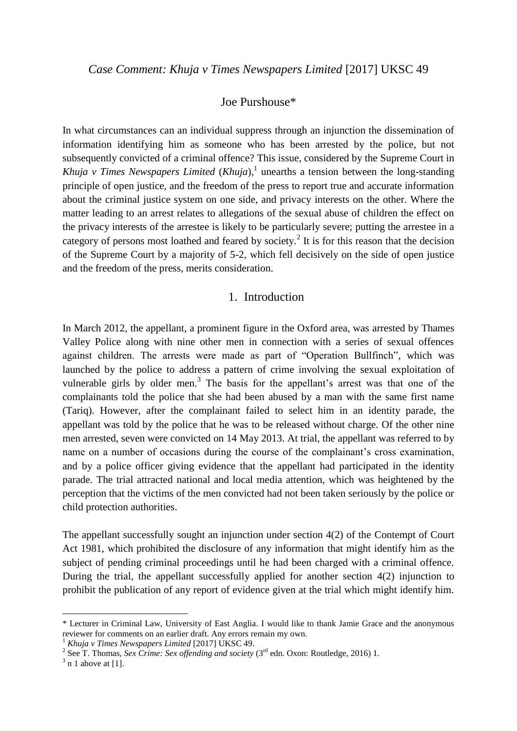## Joe Purshouse\*

In what circumstances can an individual suppress through an injunction the dissemination of information identifying him as someone who has been arrested by the police, but not subsequently convicted of a criminal offence? This issue, considered by the Supreme Court in *Khuja v Times Newspapers Limited* (*Khuja*), 1 unearths a tension between the long-standing principle of open justice, and the freedom of the press to report true and accurate information about the criminal justice system on one side, and privacy interests on the other. Where the matter leading to an arrest relates to allegations of the sexual abuse of children the effect on the privacy interests of the arrestee is likely to be particularly severe; putting the arrestee in a category of persons most loathed and feared by society.<sup>2</sup> It is for this reason that the decision of the Supreme Court by a majority of 5-2*,* which fell decisively on the side of open justice and the freedom of the press, merits consideration.

#### 1. Introduction

In March 2012, the appellant, a prominent figure in the Oxford area, was arrested by Thames Valley Police along with nine other men in connection with a series of sexual offences against children. The arrests were made as part of "Operation Bullfinch", which was launched by the police to address a pattern of crime involving the sexual exploitation of vulnerable girls by older men. $3$  The basis for the appellant's arrest was that one of the complainants told the police that she had been abused by a man with the same first name (Tariq). However, after the complainant failed to select him in an identity parade, the appellant was told by the police that he was to be released without charge. Of the other nine men arrested, seven were convicted on 14 May 2013. At trial, the appellant was referred to by name on a number of occasions during the course of the complainant's cross examination, and by a police officer giving evidence that the appellant had participated in the identity parade. The trial attracted national and local media attention, which was heightened by the perception that the victims of the men convicted had not been taken seriously by the police or child protection authorities.

The appellant successfully sought an injunction under section 4(2) of the Contempt of Court Act 1981, which prohibited the disclosure of any information that might identify him as the subject of pending criminal proceedings until he had been charged with a criminal offence. During the trial, the appellant successfully applied for another section 4(2) injunction to prohibit the publication of any report of evidence given at the trial which might identify him.

<sup>\*</sup> Lecturer in Criminal Law, University of East Anglia. I would like to thank Jamie Grace and the anonymous reviewer for comments on an earlier draft. Any errors remain my own.

<sup>1</sup> *Khuja v Times Newspapers Limited* [2017] UKSC 49.

<sup>&</sup>lt;sup>2</sup> See T. Thomas, *Sex Crime: Sex offending and society* (3<sup>rd</sup> edn. Oxon: Routledge, 2016) 1.

 $3$  n 1 above at [1].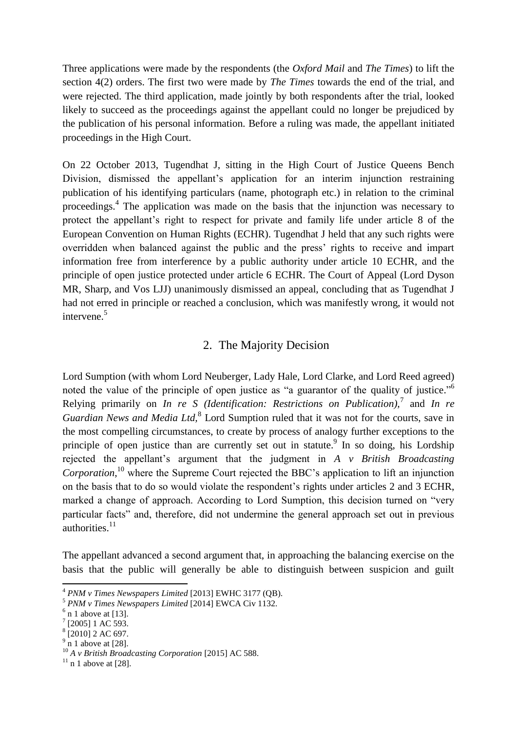Three applications were made by the respondents (the *Oxford Mail* and *The Times*) to lift the section 4(2) orders. The first two were made by *The Times* towards the end of the trial, and were rejected. The third application, made jointly by both respondents after the trial, looked likely to succeed as the proceedings against the appellant could no longer be prejudiced by the publication of his personal information. Before a ruling was made, the appellant initiated proceedings in the High Court.

On 22 October 2013, Tugendhat J, sitting in the High Court of Justice Queens Bench Division, dismissed the appellant's application for an interim injunction restraining publication of his identifying particulars (name, photograph etc.) in relation to the criminal proceedings.<sup>4</sup> The application was made on the basis that the injunction was necessary to protect the appellant's right to respect for private and family life under article 8 of the European Convention on Human Rights (ECHR). Tugendhat J held that any such rights were overridden when balanced against the public and the press' rights to receive and impart information free from interference by a public authority under article 10 ECHR, and the principle of open justice protected under article 6 ECHR. The Court of Appeal (Lord Dyson MR, Sharp, and Vos LJJ) unanimously dismissed an appeal, concluding that as Tugendhat J had not erred in principle or reached a conclusion, which was manifestly wrong, it would not intervene.<sup>5</sup>

# 2. The Majority Decision

Lord Sumption (with whom Lord Neuberger, Lady Hale, Lord Clarke, and Lord Reed agreed) noted the value of the principle of open justice as "a guarantor of the quality of justice."<sup>6</sup> Relying primarily on *In re S (Identification: Restrictions on Publication),*<sup>7</sup> and *In re*  Guardian News and Media Ltd,<sup>8</sup> Lord Sumption ruled that it was not for the courts, save in the most compelling circumstances, to create by process of analogy further exceptions to the principle of open justice than are currently set out in statute.<sup>9</sup> In so doing, his Lordship rejected the appellant's argument that the judgment in *A v British Broadcasting*  Corporation,<sup>10</sup> where the Supreme Court rejected the BBC's application to lift an injunction on the basis that to do so would violate the respondent's rights under articles 2 and 3 ECHR, marked a change of approach. According to Lord Sumption, this decision turned on "very particular facts" and, therefore, did not undermine the general approach set out in previous authorities.<sup>11</sup>

The appellant advanced a second argument that, in approaching the balancing exercise on the basis that the public will generally be able to distinguish between suspicion and guilt

**.** 

 $9 \text{ n}$  1 above at [28].

<sup>4</sup> *PNM v Times Newspapers Limited* [2013] EWHC 3177 (QB).

<sup>5</sup> *PNM v Times Newspapers Limited* [2014] EWCA Civ 1132.

 $<sup>6</sup>$  n 1 above at [13].</sup>

<sup>7</sup> [2005] 1 AC 593.

<sup>8</sup> [2010] 2 AC 697.

<sup>10</sup> *A v British Broadcasting Corporation* [2015] AC 588.

 $11$  n 1 above at [28].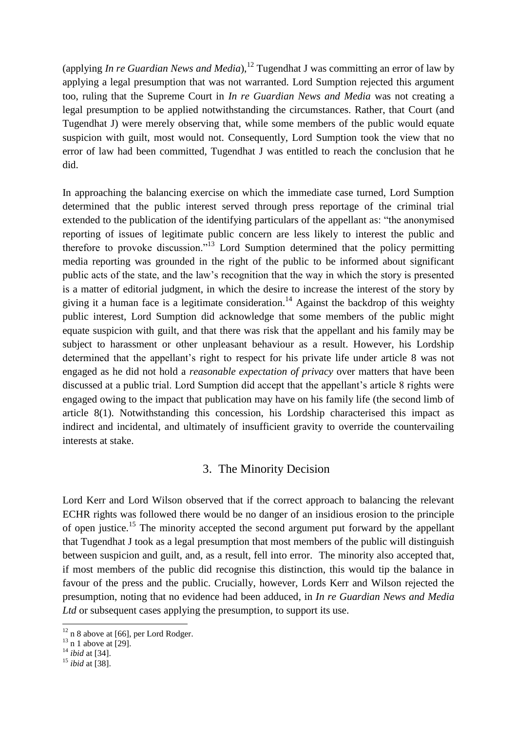(applying *In re Guardian News and Media*), <sup>12</sup> Tugendhat J was committing an error of law by applying a legal presumption that was not warranted. Lord Sumption rejected this argument too, ruling that the Supreme Court in *In re Guardian News and Media* was not creating a legal presumption to be applied notwithstanding the circumstances. Rather, that Court (and Tugendhat J) were merely observing that, while some members of the public would equate suspicion with guilt, most would not. Consequently, Lord Sumption took the view that no error of law had been committed, Tugendhat J was entitled to reach the conclusion that he did.

In approaching the balancing exercise on which the immediate case turned, Lord Sumption determined that the public interest served through press reportage of the criminal trial extended to the publication of the identifying particulars of the appellant as: "the anonymised reporting of issues of legitimate public concern are less likely to interest the public and therefore to provoke discussion."<sup>13</sup> Lord Sumption determined that the policy permitting media reporting was grounded in the right of the public to be informed about significant public acts of the state, and the law's recognition that the way in which the story is presented is a matter of editorial judgment, in which the desire to increase the interest of the story by giving it a human face is a legitimate consideration.<sup>14</sup> Against the backdrop of this weighty public interest, Lord Sumption did acknowledge that some members of the public might equate suspicion with guilt, and that there was risk that the appellant and his family may be subject to harassment or other unpleasant behaviour as a result. However, his Lordship determined that the appellant's right to respect for his private life under article 8 was not engaged as he did not hold a *reasonable expectation of privacy* over matters that have been discussed at a public trial. Lord Sumption did accept that the appellant's article 8 rights were engaged owing to the impact that publication may have on his family life (the second limb of article 8(1). Notwithstanding this concession, his Lordship characterised this impact as indirect and incidental, and ultimately of insufficient gravity to override the countervailing interests at stake.

#### 3. The Minority Decision

Lord Kerr and Lord Wilson observed that if the correct approach to balancing the relevant ECHR rights was followed there would be no danger of an insidious erosion to the principle of open justice.<sup>15</sup> The minority accepted the second argument put forward by the appellant that Tugendhat J took as a legal presumption that most members of the public will distinguish between suspicion and guilt, and, as a result, fell into error. The minority also accepted that, if most members of the public did recognise this distinction, this would tip the balance in favour of the press and the public. Crucially, however, Lords Kerr and Wilson rejected the presumption, noting that no evidence had been adduced, in *In re Guardian News and Media*  Ltd or subsequent cases applying the presumption, to support its use.

 $12$  n 8 above at [66], per Lord Rodger.

 $13$  n 1 above at [29].

<sup>14</sup> *ibid* at [34].

<sup>15</sup> *ibid* at [38].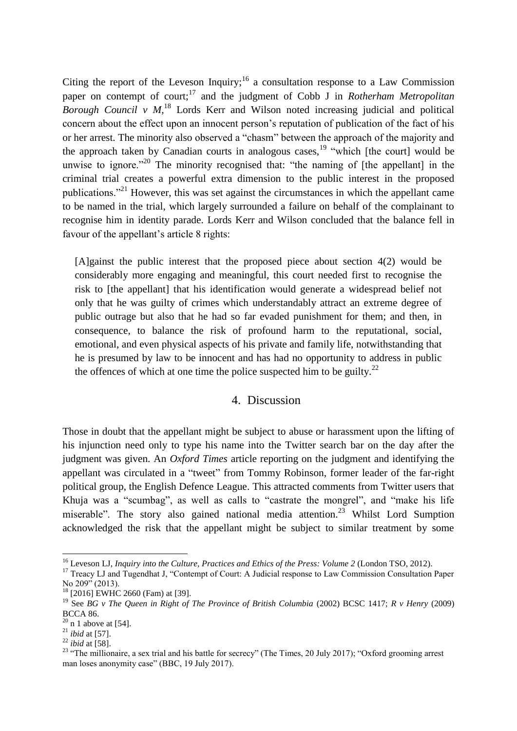Citing the report of the Leveson Inquiry;  $16$  a consultation response to a Law Commission paper on contempt of court;<sup>17</sup> and the judgment of Cobb J in *Rotherham Metropolitan Borough Council v M,*<sup>18</sup> Lords Kerr and Wilson noted increasing judicial and political concern about the effect upon an innocent person's reputation of publication of the fact of his or her arrest. The minority also observed a "chasm" between the approach of the majority and the approach taken by Canadian courts in analogous cases,  $19$  "which [the court] would be unwise to ignore."<sup>20</sup> The minority recognised that: "the naming of [the appellant] in the criminal trial creates a powerful extra dimension to the public interest in the proposed publications."<sup>21</sup> However, this was set against the circumstances in which the appellant came to be named in the trial, which largely surrounded a failure on behalf of the complainant to recognise him in identity parade. Lords Kerr and Wilson concluded that the balance fell in favour of the appellant's article 8 rights:

[A]gainst the public interest that the proposed piece about section 4(2) would be considerably more engaging and meaningful, this court needed first to recognise the risk to [the appellant] that his identification would generate a widespread belief not only that he was guilty of crimes which understandably attract an extreme degree of public outrage but also that he had so far evaded punishment for them; and then, in consequence, to balance the risk of profound harm to the reputational, social, emotional, and even physical aspects of his private and family life, notwithstanding that he is presumed by law to be innocent and has had no opportunity to address in public the offences of which at one time the police suspected him to be guilty.<sup>22</sup>

### 4. Discussion

Those in doubt that the appellant might be subject to abuse or harassment upon the lifting of his injunction need only to type his name into the Twitter search bar on the day after the judgment was given. An *Oxford Times* article reporting on the judgment and identifying the appellant was circulated in a "tweet" from Tommy Robinson, former leader of the far-right political group, the English Defence League. This attracted comments from Twitter users that Khuja was a "scumbag", as well as calls to "castrate the mongrel", and "make his life miserable". The story also gained national media attention.<sup>23</sup> Whilst Lord Sumption acknowledged the risk that the appellant might be subject to similar treatment by some

<sup>16</sup> Leveson LJ, *Inquiry into the Culture, Practices and Ethics of the Press: Volume 2* (London TSO, 2012).

<sup>&</sup>lt;sup>17</sup> Treacy LJ and Tugendhat J, "Contempt of Court: A Judicial response to Law Commission Consultation Paper No 209<sup>3</sup> (2013).

<sup>&</sup>lt;sup>18</sup> [2016] EWHC 2660 (Fam) at [39].

<sup>19</sup> See *BG v The Queen in Right of The Province of British Columbia* (2002) BCSC 1417; *R v Henry* (2009) BCCA 86.

 $20$  n 1 above at [54].

<sup>21</sup> *ibid* at [57].

<sup>22</sup> *ibid* at [58].

<sup>&</sup>lt;sup>23</sup> "The millionaire, a sex trial and his battle for secrecy" (The Times, 20 July 2017); "Oxford grooming arrest man loses anonymity case" (BBC, 19 July 2017).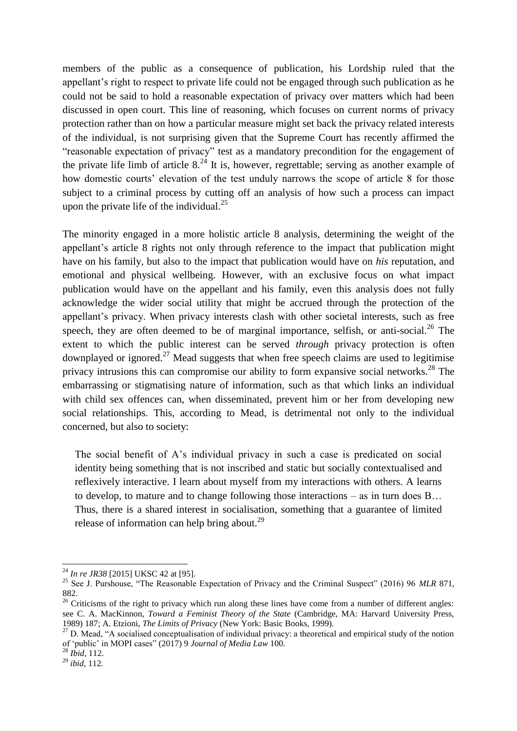members of the public as a consequence of publication, his Lordship ruled that the appellant's right to respect to private life could not be engaged through such publication as he could not be said to hold a reasonable expectation of privacy over matters which had been discussed in open court. This line of reasoning, which focuses on current norms of privacy protection rather than on how a particular measure might set back the privacy related interests of the individual, is not surprising given that the Supreme Court has recently affirmed the "reasonable expectation of privacy" test as a mandatory precondition for the engagement of the private life limb of article  $8^{24}$  It is, however, regrettable; serving as another example of how domestic courts' elevation of the test unduly narrows the scope of article 8 for those subject to a criminal process by cutting off an analysis of how such a process can impact upon the private life of the individual. $^{25}$ 

The minority engaged in a more holistic article 8 analysis, determining the weight of the appellant's article 8 rights not only through reference to the impact that publication might have on his family, but also to the impact that publication would have on *his* reputation, and emotional and physical wellbeing. However, with an exclusive focus on what impact publication would have on the appellant and his family, even this analysis does not fully acknowledge the wider social utility that might be accrued through the protection of the appellant's privacy. When privacy interests clash with other societal interests, such as free speech, they are often deemed to be of marginal importance, selfish, or anti-social.<sup>26</sup> The extent to which the public interest can be served *through* privacy protection is often downplayed or ignored.<sup>27</sup> Mead suggests that when free speech claims are used to legitimise privacy intrusions this can compromise our ability to form expansive social networks.<sup>28</sup> The embarrassing or stigmatising nature of information, such as that which links an individual with child sex offences can, when disseminated, prevent him or her from developing new social relationships. This, according to Mead, is detrimental not only to the individual concerned, but also to society:

The social benefit of A's individual privacy in such a case is predicated on social identity being something that is not inscribed and static but socially contextualised and reflexively interactive. I learn about myself from my interactions with others. A learns to develop, to mature and to change following those interactions – as in turn does B… Thus, there is a shared interest in socialisation, something that a guarantee of limited release of information can help bring about. $29$ 

<sup>24</sup> *In re JR38* [2015] UKSC 42 at [95].

<sup>&</sup>lt;sup>25</sup> See J. Purshouse, "The Reasonable Expectation of Privacy and the Criminal Suspect" (2016) 96 MLR 871, 882.

<sup>&</sup>lt;sup>26</sup> Criticisms of the right to privacy which run along these lines have come from a number of different angles: see C. A. MacKinnon, *Toward a Feminist Theory of the State* (Cambridge, MA: Harvard University Press, 1989) 187; A. Etzioni, *The Limits of Privacy* (New York: Basic Books, 1999).

 $27$  D. Mead, "A socialised conceptualisation of individual privacy: a theoretical and empirical study of the notion of 'public' in MOPI cases" (2017) 9 *Journal of Media Law* 100.

<sup>28</sup> *Ibid,* 112.

<sup>29</sup> *ibid,* 112*.*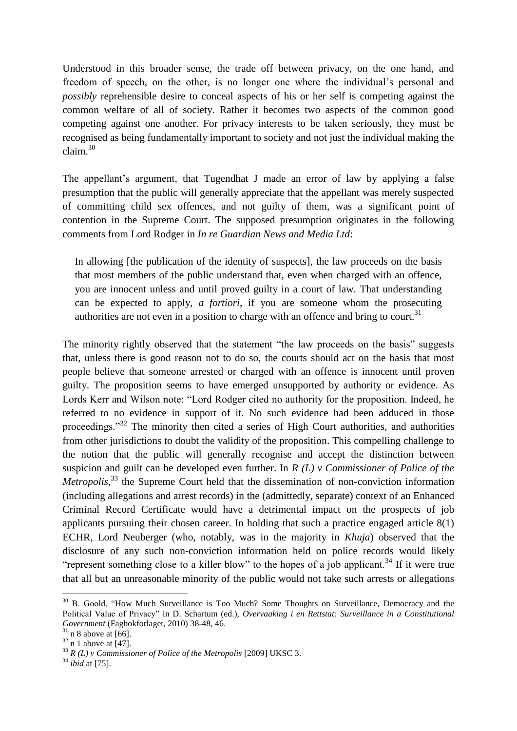Understood in this broader sense, the trade off between privacy, on the one hand, and freedom of speech, on the other, is no longer one where the individual's personal and *possibly* reprehensible desire to conceal aspects of his or her self is competing against the common welfare of all of society. Rather it becomes two aspects of the common good competing against one another. For privacy interests to be taken seriously, they must be recognised as being fundamentally important to society and not just the individual making the claim.<sup>30</sup>

The appellant's argument, that Tugendhat J made an error of law by applying a false presumption that the public will generally appreciate that the appellant was merely suspected of committing child sex offences, and not guilty of them, was a significant point of contention in the Supreme Court. The supposed presumption originates in the following comments from Lord Rodger in *In re Guardian News and Media Ltd*:

In allowing [the publication of the identity of suspects], the law proceeds on the basis that most members of the public understand that, even when charged with an offence, you are innocent unless and until proved guilty in a court of law. That understanding can be expected to apply, *a fortiori*, if you are someone whom the prosecuting authorities are not even in a position to charge with an offence and bring to court.<sup>31</sup>

The minority rightly observed that the statement "the law proceeds on the basis" suggests that, unless there is good reason not to do so, the courts should act on the basis that most people believe that someone arrested or charged with an offence is innocent until proven guilty. The proposition seems to have emerged unsupported by authority or evidence. As Lords Kerr and Wilson note: "Lord Rodger cited no authority for the proposition. Indeed, he referred to no evidence in support of it. No such evidence had been adduced in those proceedings."<sup>32</sup> The minority then cited a series of High Court authorities, and authorities from other jurisdictions to doubt the validity of the proposition. This compelling challenge to the notion that the public will generally recognise and accept the distinction between suspicion and guilt can be developed even further. In *R (L) v Commissioner of Police of the Metropolis*<sup>33</sup> the Supreme Court held that the dissemination of non-conviction information (including allegations and arrest records) in the (admittedly, separate) context of an Enhanced Criminal Record Certificate would have a detrimental impact on the prospects of job applicants pursuing their chosen career. In holding that such a practice engaged article 8(1) ECHR, Lord Neuberger (who, notably, was in the majority in *Khuja*) observed that the disclosure of any such non-conviction information held on police records would likely "represent something close to a killer blow" to the hopes of a job applicant.<sup>34</sup> If it were true that all but an unreasonable minority of the public would not take such arrests or allegations

<sup>&</sup>lt;sup>30</sup> B. Goold, "How Much Surveillance is Too Much? Some Thoughts on Surveillance, Democracy and the Political Value of Privacy" in D. Schartum (ed.), *Overvaaking i en Rettstat: Surveillance in a Constitutional Government* (Fagbokforlaget, 2010) 38-48, 46.

 $31$  n 8 above at [66].

 $32 \text{ n}$  1 above at [47].

<sup>33</sup> *R (L) v Commissioner of Police of the Metropolis* [2009] UKSC 3.

<sup>34</sup> *ibid* at [75].